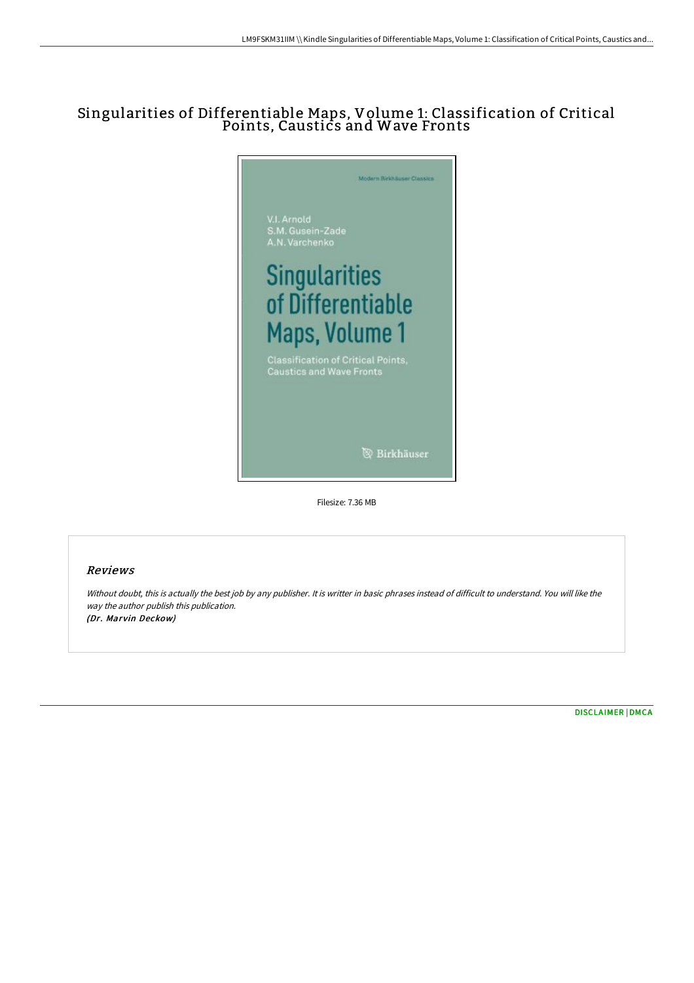# Singularities of Differentiable Maps, Volume 1: Classification of Critical Points, Caustics and Wave Fronts



### Reviews

Without doubt, this is actually the best job by any publisher. It is writter in basic phrases instead of difficult to understand. You will like the way the author publish this publication. (Dr. Marvin Deckow)

[DISCLAIMER](http://techno-pub.tech/disclaimer.html) | [DMCA](http://techno-pub.tech/dmca.html)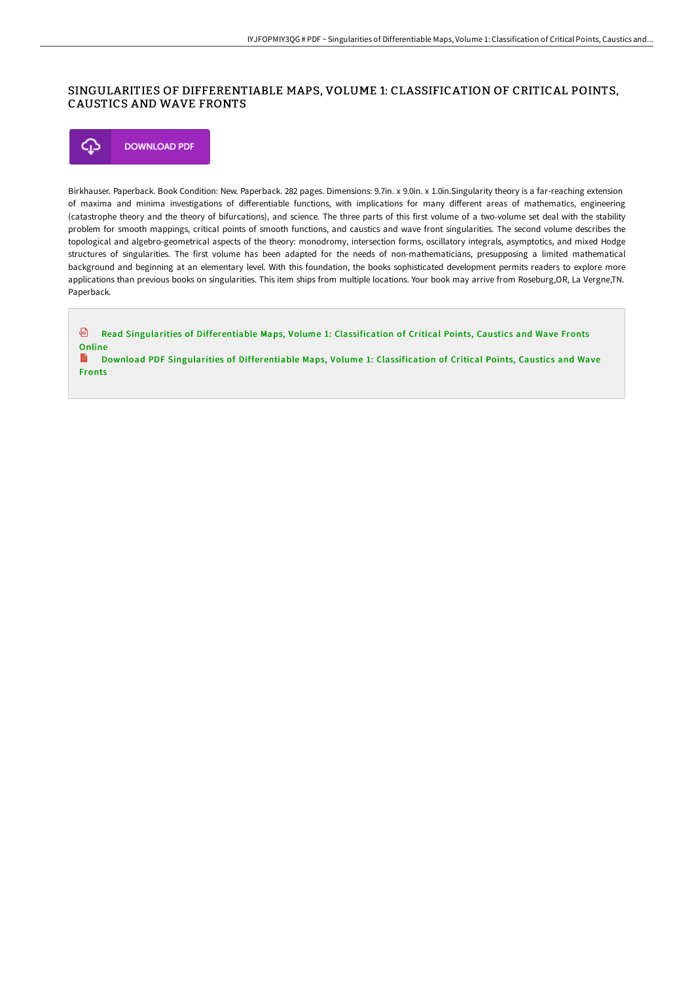## SINGULARITIES OF DIFFERENTIABLE MAPS, VOLUME 1: CLASSIFICATION OF CRITICAL POINTS, CAUSTICS AND WAVE FRONTS



Birkhauser. Paperback. Book Condition: New. Paperback. 282 pages. Dimensions: 9.7in. x 9.0in. x 1.0in.Singularity theory is a far-reaching extension of maxima and minima investigations of differentiable functions, with implications for many different areas of mathematics, engineering (catastrophe theory and the theory of bifurcations), and science. The three parts of this first volume of a two-volume set deal with the stability problem for smooth mappings, critical points of smooth functions, and caustics and wave front singularities. The second volume describes the topological and algebro-geometrical aspects of the theory: monodromy, intersection forms, oscillatory integrals, asymptotics, and mixed Hodge structures of singularities. The first volume has been adapted for the needs of non-mathematicians, presupposing a limited mathematical background and beginning at an elementary level. With this foundation, the books sophisticated development permits readers to explore more applications than previous books on singularities. This item ships from multiple locations. Your book may arrive from Roseburg,OR, La Vergne,TN. Paperback.

⊕ Read Singularities of [Differentiable](http://techno-pub.tech/singularities-of-differentiable-maps-volume-1-cl.html) Maps, Volume 1: Classification of Critical Points, Caustics and Wave Fronts Online B Download PDF Singularities of [Differentiable](http://techno-pub.tech/singularities-of-differentiable-maps-volume-1-cl.html) Maps, Volume 1: Classification of Critical Points, Caustics and Wave Fronts